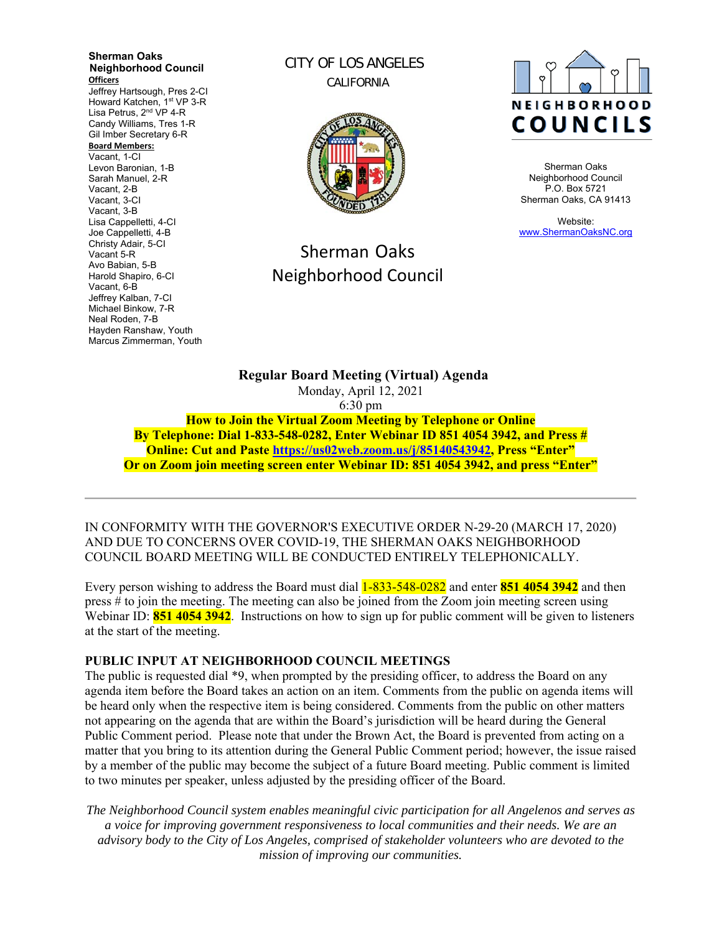**Sherman Oaks Neighborhood Council Officers**  Jeffrey Hartsough, Pres 2-CI Howard Katchen, 1<sup>st</sup> VP 3-R Lisa Petrus, 2<sup>nd</sup> VP 4-R Candy Williams, Tres 1-R Gil Imber Secretary 6-R **Board Members:** Vacant, 1-CI Levon Baronian, 1-B Sarah Manuel, 2-R Vacant, 2-B Vacant, 3-CI Vacant, 3-B Lisa Cappelletti, 4-CI Joe Cappelletti, 4-B Christy Adair, 5-CI Vacant 5-R Avo Babian, 5-B Harold Shapiro, 6-CI Vacant, 6-B Jeffrey Kalban, 7-CI Michael Binkow, 7-R Neal Roden, 7-B Hayden Ranshaw, Youth Marcus Zimmerman, Youth

CITY OF LOS ANGELES CALIFORNIA



# Sherman Oaks Neighborhood Council



Sherman Oaks Neighborhood Council P.O. Box 5721 Sherman Oaks, CA 91413

Website: www.ShermanOaksNC.org

**Regular Board Meeting (Virtual) Agenda**  Monday, April 12, 2021 6:30 pm **How to Join the Virtual Zoom Meeting by Telephone or Online** 

**By Telephone: Dial 1-833-548-0282, Enter Webinar ID 851 4054 3942, and Press # Online: Cut and Paste https://us02web.zoom.us/j/85140543942, Press "Enter" Or on Zoom join meeting screen enter Webinar ID: 851 4054 3942, and press "Enter"** 

IN CONFORMITY WITH THE GOVERNOR'S EXECUTIVE ORDER N-29-20 (MARCH 17, 2020) AND DUE TO CONCERNS OVER COVID-19, THE SHERMAN OAKS NEIGHBORHOOD COUNCIL BOARD MEETING WILL BE CONDUCTED ENTIRELY TELEPHONICALLY.

Every person wishing to address the Board must dial 1-833-548-0282 and enter **851 4054 3942** and then press # to join the meeting. The meeting can also be joined from the Zoom join meeting screen using Webinar ID: **851 4054 3942**. Instructions on how to sign up for public comment will be given to listeners at the start of the meeting.

### **PUBLIC INPUT AT NEIGHBORHOOD COUNCIL MEETINGS**

The public is requested dial \*9, when prompted by the presiding officer, to address the Board on any agenda item before the Board takes an action on an item. Comments from the public on agenda items will be heard only when the respective item is being considered. Comments from the public on other matters not appearing on the agenda that are within the Board's jurisdiction will be heard during the General Public Comment period. Please note that under the Brown Act, the Board is prevented from acting on a matter that you bring to its attention during the General Public Comment period; however, the issue raised by a member of the public may become the subject of a future Board meeting. Public comment is limited to two minutes per speaker, unless adjusted by the presiding officer of the Board.

*The Neighborhood Council system enables meaningful civic participation for all Angelenos and serves as a voice for improving government responsiveness to local communities and their needs. We are an advisory body to the City of Los Angeles, comprised of stakeholder volunteers who are devoted to the mission of improving our communities.*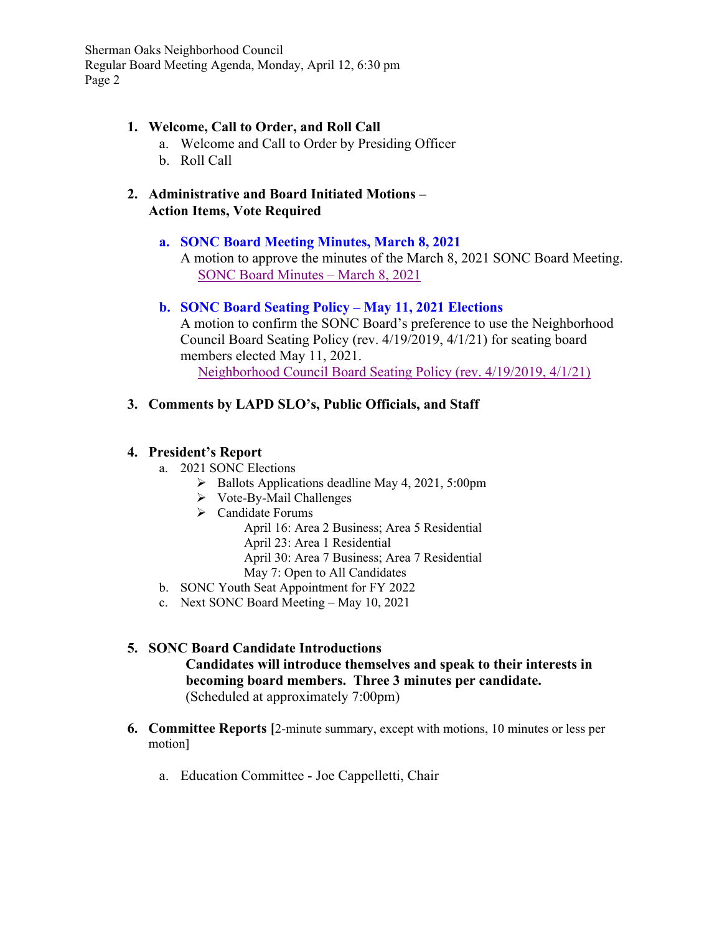Sherman Oaks Neighborhood Council Regular Board Meeting Agenda, Monday, April 12, 6:30 pm Page 2

## **1. Welcome, Call to Order, and Roll Call**

- a. Welcome and Call to Order by Presiding Officer
- b. Roll Call
- **2. Administrative and Board Initiated Motions Action Items, Vote Required**

# **a. SONC Board Meeting Minutes, March 8, 2021**

A motion to approve the minutes of the March 8, 2021 SONC Board Meeting. SONC Board Minutes – March 8, 2021

# **b. SONC Board Seating Policy – May 11, 2021 Elections**

A motion to confirm the SONC Board's preference to use the Neighborhood Council Board Seating Policy (rev. 4/19/2019, 4/1/21) for seating board members elected May 11, 2021. Neighborhood Council Board Seating Policy (rev. 4/19/2019, 4/1/21)

# **3. Comments by LAPD SLO's, Public Officials, and Staff**

# **4. President's Report**

- a. 2021 SONC Elections
	- $\triangleright$  Ballots Applications deadline May 4, 2021, 5:00pm
	- $\triangleright$  Vote-By-Mail Challenges
	- Candidate Forums

April 16: Area 2 Business; Area 5 Residential

- April 23: Area 1 Residential
- April 30: Area 7 Business; Area 7 Residential
- May 7: Open to All Candidates
- b. SONC Youth Seat Appointment for FY 2022
- c. Next SONC Board Meeting May 10, 2021

# **5. SONC Board Candidate Introductions Candidates will introduce themselves and speak to their interests in becoming board members. Three 3 minutes per candidate.**  (Scheduled at approximately 7:00pm)

- **6. Committee Reports [**2-minute summary, except with motions, 10 minutes or less per motion]
	- a. Education Committee Joe Cappelletti, Chair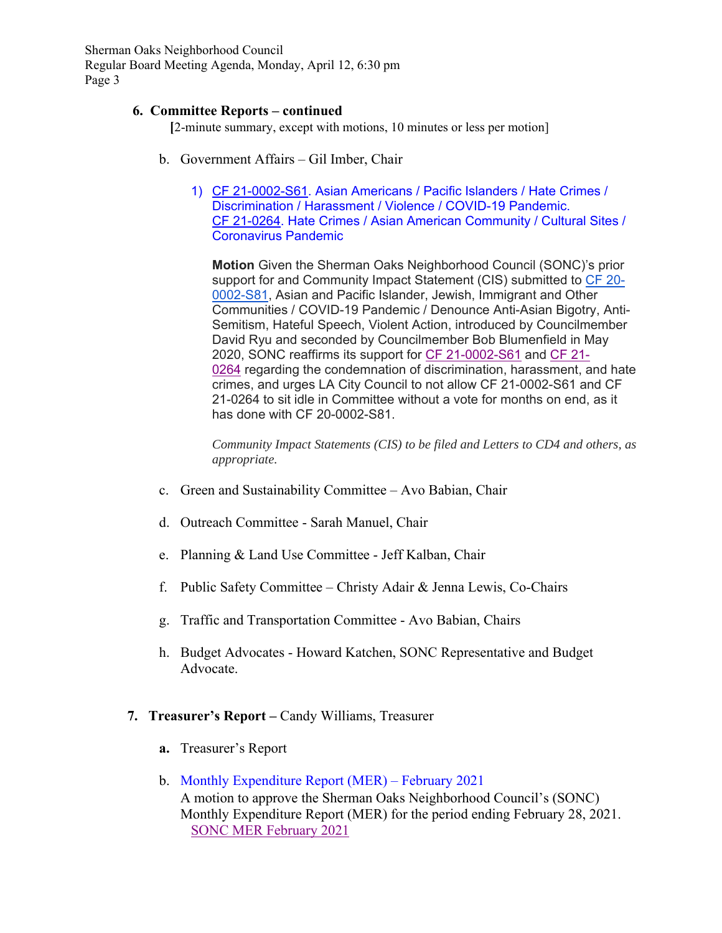Sherman Oaks Neighborhood Council Regular Board Meeting Agenda, Monday, April 12, 6:30 pm Page 3

#### **6. Committee Reports – continued**

 **[**2-minute summary, except with motions, 10 minutes or less per motion]

- b. Government Affairs Gil Imber, Chair
	- 1) CF 21-0002-S61. Asian Americans / Pacific Islanders / Hate Crimes / Discrimination / Harassment / Violence / COVID-19 Pandemic. CF 21-0264. Hate Crimes / Asian American Community / Cultural Sites / Coronavirus Pandemic

**Motion** Given the Sherman Oaks Neighborhood Council (SONC)'s prior support for and Community Impact Statement (CIS) submitted to CF 20- 0002-S81, Asian and Pacific Islander, Jewish, Immigrant and Other Communities / COVID-19 Pandemic / Denounce Anti-Asian Bigotry, Anti-Semitism, Hateful Speech, Violent Action, introduced by Councilmember David Ryu and seconded by Councilmember Bob Blumenfield in May 2020, SONC reaffirms its support for CF 21-0002-S61 and CF 21- 0264 regarding the condemnation of discrimination, harassment, and hate crimes, and urges LA City Council to not allow CF 21-0002-S61 and CF 21-0264 to sit idle in Committee without a vote for months on end, as it has done with CF 20-0002-S81.

*Community Impact Statements (CIS) to be filed and Letters to CD4 and others, as appropriate.*

- c. Green and Sustainability Committee Avo Babian, Chair
- d. Outreach Committee Sarah Manuel, Chair
- e. Planning & Land Use Committee Jeff Kalban, Chair
- f. Public Safety Committee Christy Adair & Jenna Lewis, Co-Chairs
- g. Traffic and Transportation Committee Avo Babian, Chairs
- h. Budget Advocates Howard Katchen, SONC Representative and Budget Advocate.

### **7. Treasurer's Report –** Candy Williams, Treasurer

- **a.** Treasurer's Report
- b. Monthly Expenditure Report (MER) February 2021 A motion to approve the Sherman Oaks Neighborhood Council's (SONC) Monthly Expenditure Report (MER) for the period ending February 28, 2021. SONC MER February 2021